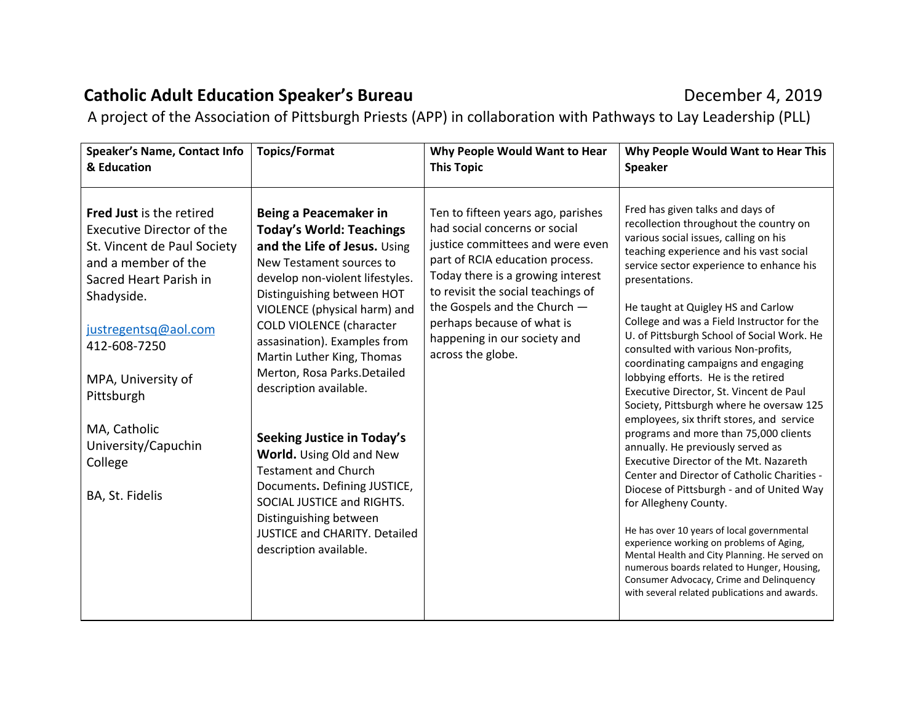## **Catholic Adult Education Speaker's Bureau** December 4, 2019

A project of the Association of Pittsburgh Priests (APP) in collaboration with Pathways to Lay Leadership (PLL)

| Speaker's Name, Contact Info<br>& Education                                                                                                                                                                                                                                                          | <b>Topics/Format</b>                                                                                                                                                                                                                                                                                                                                                                                                                                                                                                                                                                                                                      | Why People Would Want to Hear<br><b>This Topic</b>                                                                                                                                                                                                                                                                                       | Why People Would Want to Hear This<br><b>Speaker</b>                                                                                                                                                                                                                                                                                                                                                                                                                                                                                                                                                                                                                                                                                                                                                                                                                                                                                                                                                                                                                                                                                                        |
|------------------------------------------------------------------------------------------------------------------------------------------------------------------------------------------------------------------------------------------------------------------------------------------------------|-------------------------------------------------------------------------------------------------------------------------------------------------------------------------------------------------------------------------------------------------------------------------------------------------------------------------------------------------------------------------------------------------------------------------------------------------------------------------------------------------------------------------------------------------------------------------------------------------------------------------------------------|------------------------------------------------------------------------------------------------------------------------------------------------------------------------------------------------------------------------------------------------------------------------------------------------------------------------------------------|-------------------------------------------------------------------------------------------------------------------------------------------------------------------------------------------------------------------------------------------------------------------------------------------------------------------------------------------------------------------------------------------------------------------------------------------------------------------------------------------------------------------------------------------------------------------------------------------------------------------------------------------------------------------------------------------------------------------------------------------------------------------------------------------------------------------------------------------------------------------------------------------------------------------------------------------------------------------------------------------------------------------------------------------------------------------------------------------------------------------------------------------------------------|
| Fred Just is the retired<br>Executive Director of the<br>St. Vincent de Paul Society<br>and a member of the<br>Sacred Heart Parish in<br>Shadyside.<br>justregentsq@aol.com<br>412-608-7250<br>MPA, University of<br>Pittsburgh<br>MA, Catholic<br>University/Capuchin<br>College<br>BA, St. Fidelis | Being a Peacemaker in<br><b>Today's World: Teachings</b><br>and the Life of Jesus. Using<br>New Testament sources to<br>develop non-violent lifestyles.<br>Distinguishing between HOT<br>VIOLENCE (physical harm) and<br><b>COLD VIOLENCE (character</b><br>assasination). Examples from<br>Martin Luther King, Thomas<br>Merton, Rosa Parks.Detailed<br>description available.<br><b>Seeking Justice in Today's</b><br>World. Using Old and New<br><b>Testament and Church</b><br>Documents. Defining JUSTICE,<br>SOCIAL JUSTICE and RIGHTS.<br>Distinguishing between<br><b>JUSTICE and CHARITY, Detailed</b><br>description available. | Ten to fifteen years ago, parishes<br>had social concerns or social<br>justice committees and were even<br>part of RCIA education process.<br>Today there is a growing interest<br>to revisit the social teachings of<br>the Gospels and the Church -<br>perhaps because of what is<br>happening in our society and<br>across the globe. | Fred has given talks and days of<br>recollection throughout the country on<br>various social issues, calling on his<br>teaching experience and his vast social<br>service sector experience to enhance his<br>presentations.<br>He taught at Quigley HS and Carlow<br>College and was a Field Instructor for the<br>U. of Pittsburgh School of Social Work. He<br>consulted with various Non-profits,<br>coordinating campaigns and engaging<br>lobbying efforts. He is the retired<br>Executive Director, St. Vincent de Paul<br>Society, Pittsburgh where he oversaw 125<br>employees, six thrift stores, and service<br>programs and more than 75,000 clients<br>annually. He previously served as<br>Executive Director of the Mt. Nazareth<br>Center and Director of Catholic Charities -<br>Diocese of Pittsburgh - and of United Way<br>for Allegheny County.<br>He has over 10 years of local governmental<br>experience working on problems of Aging,<br>Mental Health and City Planning. He served on<br>numerous boards related to Hunger, Housing,<br>Consumer Advocacy, Crime and Delinquency<br>with several related publications and awards. |
|                                                                                                                                                                                                                                                                                                      |                                                                                                                                                                                                                                                                                                                                                                                                                                                                                                                                                                                                                                           |                                                                                                                                                                                                                                                                                                                                          |                                                                                                                                                                                                                                                                                                                                                                                                                                                                                                                                                                                                                                                                                                                                                                                                                                                                                                                                                                                                                                                                                                                                                             |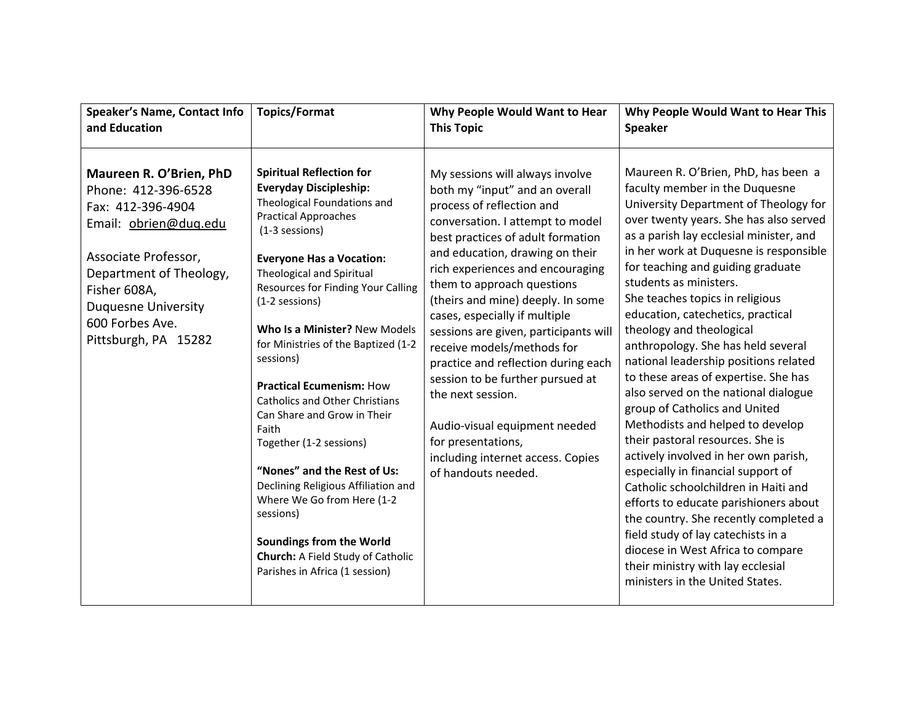| <b>Speaker's Name, Contact Info</b>                                                                                                                                                                                                      | <b>Topics/Format</b>                                                                                                                                                                                                                                                                                                                                                                                                                                                                                                                                                                                                                                                                                                                                  | Why People Would Want to Hear                                                                                                                                                                                                                                                                                                                                                                                                                                                                                                                                                                                                                | Why People Would Want to Hear This                                                                                                                                                                                                                                                                                                                                                                                                                                                                                                                                                                                                                                                                                                                                                                                                                                                                                                                                                                                                                  |
|------------------------------------------------------------------------------------------------------------------------------------------------------------------------------------------------------------------------------------------|-------------------------------------------------------------------------------------------------------------------------------------------------------------------------------------------------------------------------------------------------------------------------------------------------------------------------------------------------------------------------------------------------------------------------------------------------------------------------------------------------------------------------------------------------------------------------------------------------------------------------------------------------------------------------------------------------------------------------------------------------------|----------------------------------------------------------------------------------------------------------------------------------------------------------------------------------------------------------------------------------------------------------------------------------------------------------------------------------------------------------------------------------------------------------------------------------------------------------------------------------------------------------------------------------------------------------------------------------------------------------------------------------------------|-----------------------------------------------------------------------------------------------------------------------------------------------------------------------------------------------------------------------------------------------------------------------------------------------------------------------------------------------------------------------------------------------------------------------------------------------------------------------------------------------------------------------------------------------------------------------------------------------------------------------------------------------------------------------------------------------------------------------------------------------------------------------------------------------------------------------------------------------------------------------------------------------------------------------------------------------------------------------------------------------------------------------------------------------------|
| and Education                                                                                                                                                                                                                            |                                                                                                                                                                                                                                                                                                                                                                                                                                                                                                                                                                                                                                                                                                                                                       | <b>This Topic</b>                                                                                                                                                                                                                                                                                                                                                                                                                                                                                                                                                                                                                            | <b>Speaker</b>                                                                                                                                                                                                                                                                                                                                                                                                                                                                                                                                                                                                                                                                                                                                                                                                                                                                                                                                                                                                                                      |
| Maureen R. O'Brien, PhD<br>Phone: 412-396-6528<br>Fax: 412-396-4904<br>Email: obrien@dug.edu<br>Associate Professor,<br>Department of Theology,<br>Fisher 608A,<br><b>Duquesne University</b><br>600 Forbes Ave.<br>Pittsburgh, PA 15282 | <b>Spiritual Reflection for</b><br><b>Everyday Discipleship:</b><br>Theological Foundations and<br><b>Practical Approaches</b><br>(1-3 sessions)<br><b>Everyone Has a Vocation:</b><br>Theological and Spiritual<br><b>Resources for Finding Your Calling</b><br>(1-2 sessions)<br>Who Is a Minister? New Models<br>for Ministries of the Baptized (1-2<br>sessions)<br><b>Practical Ecumenism: How</b><br><b>Catholics and Other Christians</b><br>Can Share and Grow in Their<br>Faith<br>Together (1-2 sessions)<br>"Nones" and the Rest of Us:<br>Declining Religious Affiliation and<br>Where We Go from Here (1-2<br>sessions)<br><b>Soundings from the World</b><br><b>Church:</b> A Field Study of Catholic<br>Parishes in Africa (1 session) | My sessions will always involve<br>both my "input" and an overall<br>process of reflection and<br>conversation. I attempt to model<br>best practices of adult formation<br>and education, drawing on their<br>rich experiences and encouraging<br>them to approach questions<br>(theirs and mine) deeply. In some<br>cases, especially if multiple<br>sessions are given, participants will<br>receive models/methods for<br>practice and reflection during each<br>session to be further pursued at<br>the next session.<br>Audio-visual equipment needed<br>for presentations,<br>including internet access. Copies<br>of handouts needed. | Maureen R. O'Brien, PhD, has been a<br>faculty member in the Duquesne<br>University Department of Theology for<br>over twenty years. She has also served<br>as a parish lay ecclesial minister, and<br>in her work at Duquesne is responsible<br>for teaching and guiding graduate<br>students as ministers.<br>She teaches topics in religious<br>education, catechetics, practical<br>theology and theological<br>anthropology. She has held several<br>national leadership positions related<br>to these areas of expertise. She has<br>also served on the national dialogue<br>group of Catholics and United<br>Methodists and helped to develop<br>their pastoral resources. She is<br>actively involved in her own parish,<br>especially in financial support of<br>Catholic schoolchildren in Haiti and<br>efforts to educate parishioners about<br>the country. She recently completed a<br>field study of lay catechists in a<br>diocese in West Africa to compare<br>their ministry with lay ecclesial<br>ministers in the United States. |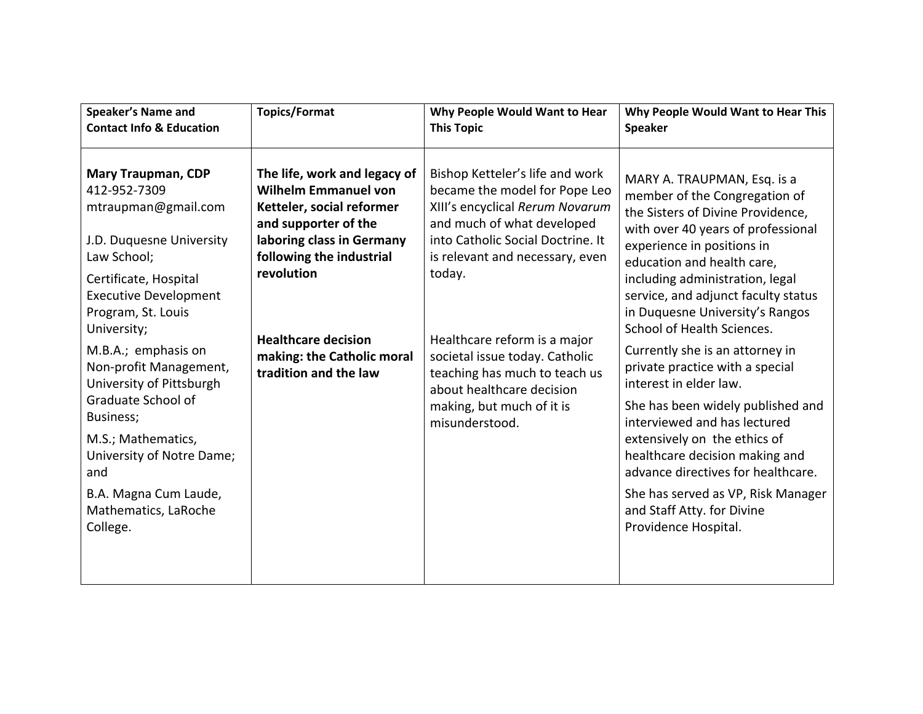| Speaker's Name and<br><b>Contact Info &amp; Education</b>                                                                                                                                                                                                                                                                                                                                                                                        | <b>Topics/Format</b>                                                                                                                                                                                                                                                         | Why People Would Want to Hear<br><b>This Topic</b>                                                                                                                                                                                                                                                                                                                                                 | Why People Would Want to Hear This<br><b>Speaker</b>                                                                                                                                                                                                                                                                                                                                                                                                                                                                                                                                                                                                                                                                    |
|--------------------------------------------------------------------------------------------------------------------------------------------------------------------------------------------------------------------------------------------------------------------------------------------------------------------------------------------------------------------------------------------------------------------------------------------------|------------------------------------------------------------------------------------------------------------------------------------------------------------------------------------------------------------------------------------------------------------------------------|----------------------------------------------------------------------------------------------------------------------------------------------------------------------------------------------------------------------------------------------------------------------------------------------------------------------------------------------------------------------------------------------------|-------------------------------------------------------------------------------------------------------------------------------------------------------------------------------------------------------------------------------------------------------------------------------------------------------------------------------------------------------------------------------------------------------------------------------------------------------------------------------------------------------------------------------------------------------------------------------------------------------------------------------------------------------------------------------------------------------------------------|
| <b>Mary Traupman, CDP</b><br>412-952-7309<br>mtraupman@gmail.com<br>J.D. Duquesne University<br>Law School;<br>Certificate, Hospital<br><b>Executive Development</b><br>Program, St. Louis<br>University;<br>M.B.A.; emphasis on<br>Non-profit Management,<br>University of Pittsburgh<br>Graduate School of<br>Business;<br>M.S.; Mathematics,<br>University of Notre Dame;<br>and<br>B.A. Magna Cum Laude,<br>Mathematics, LaRoche<br>College. | The life, work and legacy of<br><b>Wilhelm Emmanuel von</b><br>Ketteler, social reformer<br>and supporter of the<br>laboring class in Germany<br>following the industrial<br>revolution<br><b>Healthcare decision</b><br>making: the Catholic moral<br>tradition and the law | Bishop Ketteler's life and work<br>became the model for Pope Leo<br>XIII's encyclical Rerum Novarum<br>and much of what developed<br>into Catholic Social Doctrine. It<br>is relevant and necessary, even<br>today.<br>Healthcare reform is a major<br>societal issue today. Catholic<br>teaching has much to teach us<br>about healthcare decision<br>making, but much of it is<br>misunderstood. | MARY A. TRAUPMAN, Esq. is a<br>member of the Congregation of<br>the Sisters of Divine Providence,<br>with over 40 years of professional<br>experience in positions in<br>education and health care,<br>including administration, legal<br>service, and adjunct faculty status<br>in Duquesne University's Rangos<br>School of Health Sciences.<br>Currently she is an attorney in<br>private practice with a special<br>interest in elder law.<br>She has been widely published and<br>interviewed and has lectured<br>extensively on the ethics of<br>healthcare decision making and<br>advance directives for healthcare.<br>She has served as VP, Risk Manager<br>and Staff Atty. for Divine<br>Providence Hospital. |
|                                                                                                                                                                                                                                                                                                                                                                                                                                                  |                                                                                                                                                                                                                                                                              |                                                                                                                                                                                                                                                                                                                                                                                                    |                                                                                                                                                                                                                                                                                                                                                                                                                                                                                                                                                                                                                                                                                                                         |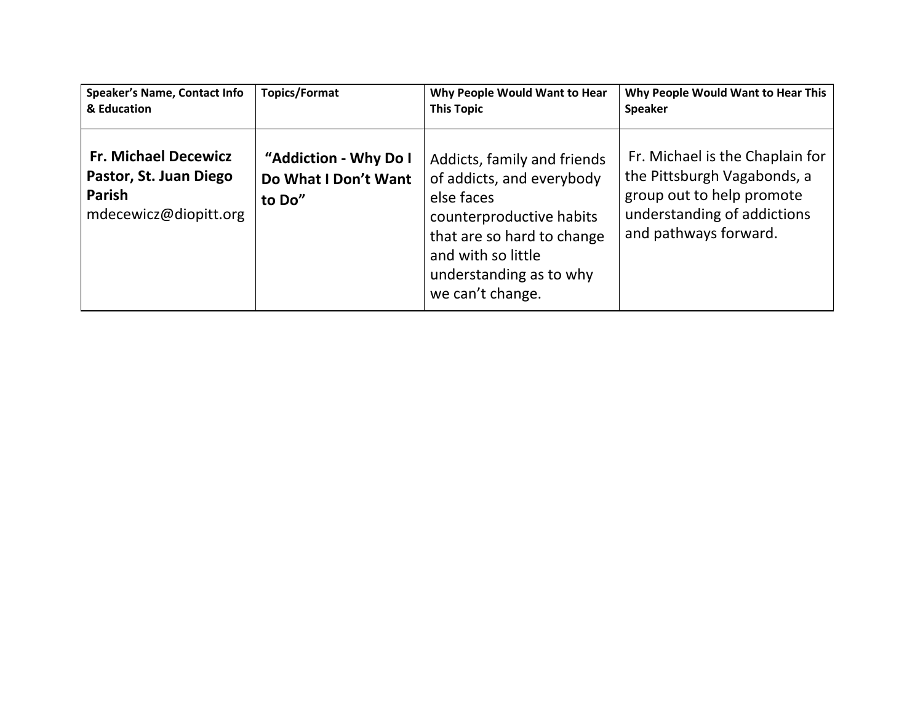| <b>Speaker's Name, Contact Info</b>                                                             | <b>Topics/Format</b>                                    | Why People Would Want to Hear                                                                                                                                                                         | Why People Would Want to Hear This                                                                                                                  |
|-------------------------------------------------------------------------------------------------|---------------------------------------------------------|-------------------------------------------------------------------------------------------------------------------------------------------------------------------------------------------------------|-----------------------------------------------------------------------------------------------------------------------------------------------------|
| & Education                                                                                     |                                                         | <b>This Topic</b>                                                                                                                                                                                     | <b>Speaker</b>                                                                                                                                      |
| <b>Fr. Michael Decewicz</b><br>Pastor, St. Juan Diego<br><b>Parish</b><br>mdecewicz@diopitt.org | "Addiction - Why Do I<br>Do What I Don't Want<br>to Do" | Addicts, family and friends<br>of addicts, and everybody<br>else faces<br>counterproductive habits<br>that are so hard to change<br>and with so little<br>understanding as to why<br>we can't change. | Fr. Michael is the Chaplain for<br>the Pittsburgh Vagabonds, a<br>group out to help promote<br>understanding of addictions<br>and pathways forward. |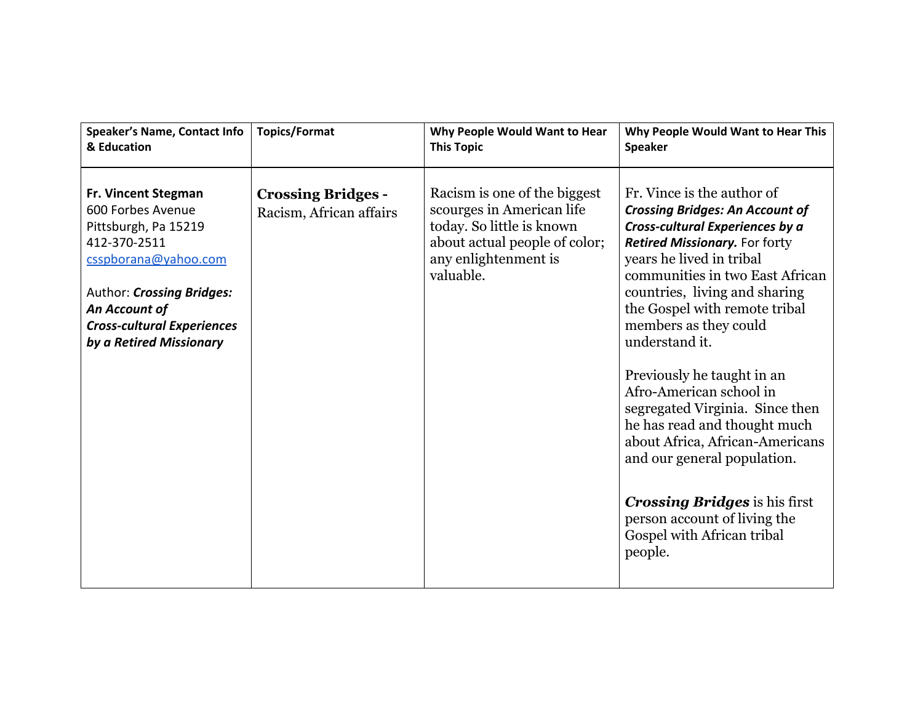| <b>Speaker's Name, Contact Info</b>                                                                                                                                                                                           | <b>Topics/Format</b>                                 | Why People Would Want to Hear                                                                                                                                | Why People Would Want to Hear This                                                                                                                                                                                                                                                                                                                                                                                                                                                                                                                                                                                                         |
|-------------------------------------------------------------------------------------------------------------------------------------------------------------------------------------------------------------------------------|------------------------------------------------------|--------------------------------------------------------------------------------------------------------------------------------------------------------------|--------------------------------------------------------------------------------------------------------------------------------------------------------------------------------------------------------------------------------------------------------------------------------------------------------------------------------------------------------------------------------------------------------------------------------------------------------------------------------------------------------------------------------------------------------------------------------------------------------------------------------------------|
| & Education                                                                                                                                                                                                                   |                                                      | <b>This Topic</b>                                                                                                                                            | <b>Speaker</b>                                                                                                                                                                                                                                                                                                                                                                                                                                                                                                                                                                                                                             |
| <b>Fr. Vincent Stegman</b><br>600 Forbes Avenue<br>Pittsburgh, Pa 15219<br>412-370-2511<br>csspborana@yahoo.com<br>Author: Crossing Bridges:<br>An Account of<br><b>Cross-cultural Experiences</b><br>by a Retired Missionary | <b>Crossing Bridges -</b><br>Racism, African affairs | Racism is one of the biggest<br>scourges in American life<br>today. So little is known<br>about actual people of color;<br>any enlightenment is<br>valuable. | Fr. Vince is the author of<br><b>Crossing Bridges: An Account of</b><br>Cross-cultural Experiences by a<br><b>Retired Missionary.</b> For forty<br>years he lived in tribal<br>communities in two East African<br>countries, living and sharing<br>the Gospel with remote tribal<br>members as they could<br>understand it.<br>Previously he taught in an<br>Afro-American school in<br>segregated Virginia. Since then<br>he has read and thought much<br>about Africa, African-Americans<br>and our general population.<br><b>Crossing Bridges</b> is his first<br>person account of living the<br>Gospel with African tribal<br>people. |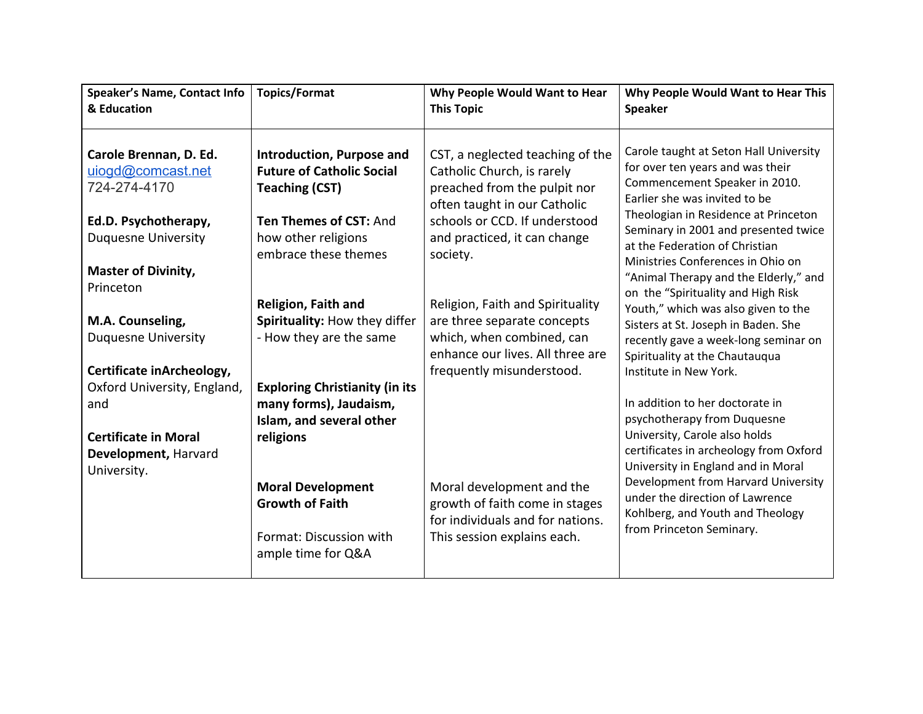| <b>Speaker's Name, Contact Info</b><br>& Education                                                                                                           | <b>Topics/Format</b>                                                                                                                                                                                            | Why People Would Want to Hear<br><b>This Topic</b>                                                                                                                                                          | Why People Would Want to Hear This<br><b>Speaker</b>                                                                                                                                                                                                                                                                                         |
|--------------------------------------------------------------------------------------------------------------------------------------------------------------|-----------------------------------------------------------------------------------------------------------------------------------------------------------------------------------------------------------------|-------------------------------------------------------------------------------------------------------------------------------------------------------------------------------------------------------------|----------------------------------------------------------------------------------------------------------------------------------------------------------------------------------------------------------------------------------------------------------------------------------------------------------------------------------------------|
| Carole Brennan, D. Ed.<br>uiogd@comcast.net<br>724-274-4170<br>Ed.D. Psychotherapy,<br><b>Duquesne University</b><br><b>Master of Divinity,</b><br>Princeton | <b>Introduction, Purpose and</b><br><b>Future of Catholic Social</b><br><b>Teaching (CST)</b><br>Ten Themes of CST: And<br>how other religions<br>embrace these themes                                          | CST, a neglected teaching of the<br>Catholic Church, is rarely<br>preached from the pulpit nor<br>often taught in our Catholic<br>schools or CCD. If understood<br>and practiced, it can change<br>society. | Carole taught at Seton Hall University<br>for over ten years and was their<br>Commencement Speaker in 2010.<br>Earlier she was invited to be<br>Theologian in Residence at Princeton<br>Seminary in 2001 and presented twice<br>at the Federation of Christian<br>Ministries Conferences in Ohio on<br>"Animal Therapy and the Elderly," and |
| M.A. Counseling,<br><b>Duquesne University</b><br>Certificate inArcheology,                                                                                  | <b>Religion, Faith and</b><br>Spirituality: How they differ<br>- How they are the same                                                                                                                          | Religion, Faith and Spirituality<br>are three separate concepts<br>which, when combined, can<br>enhance our lives. All three are<br>frequently misunderstood.                                               | on the "Spirituality and High Risk<br>Youth," which was also given to the<br>Sisters at St. Joseph in Baden. She<br>recently gave a week-long seminar on<br>Spirituality at the Chautauqua<br>Institute in New York.                                                                                                                         |
| Oxford University, England,<br>and<br><b>Certificate in Moral</b><br>Development, Harvard<br>University.                                                     | <b>Exploring Christianity (in its</b><br>many forms), Jaudaism,<br>Islam, and several other<br>religions<br><b>Moral Development</b><br><b>Growth of Faith</b><br>Format: Discussion with<br>ample time for Q&A | Moral development and the<br>growth of faith come in stages<br>for individuals and for nations.<br>This session explains each.                                                                              | In addition to her doctorate in<br>psychotherapy from Duquesne<br>University, Carole also holds<br>certificates in archeology from Oxford<br>University in England and in Moral<br>Development from Harvard University<br>under the direction of Lawrence<br>Kohlberg, and Youth and Theology<br>from Princeton Seminary.                    |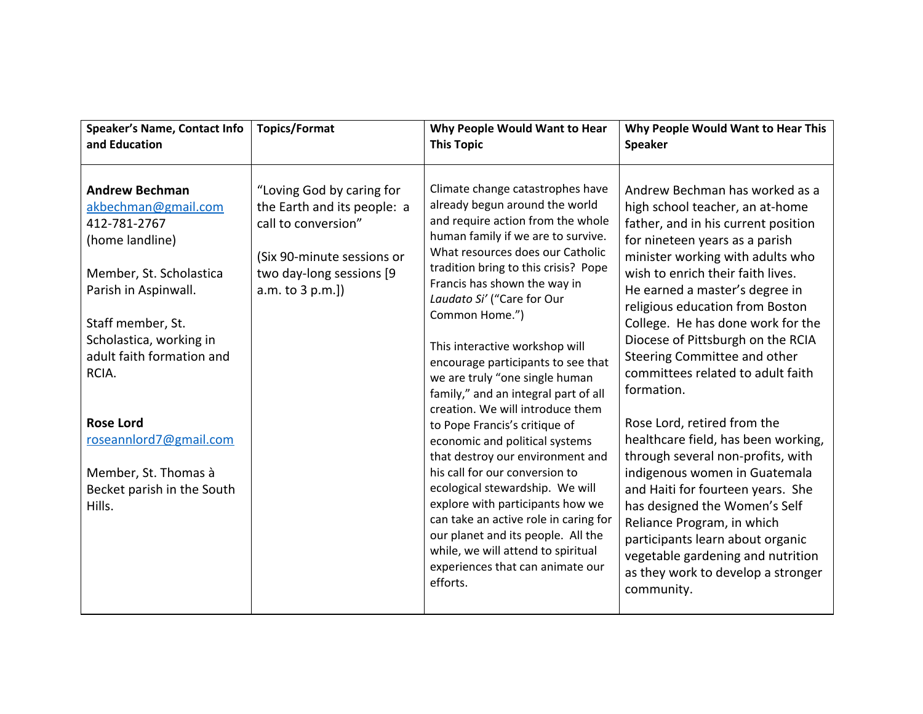| <b>Speaker's Name, Contact Info</b>                                                                                                                                                                                                                                                                                                    | <b>Topics/Format</b>                                                                                                                                          | Why People Would Want to Hear                                                                                                                                                                                                                                                                                                                                                                                                                                                                                                                                                                                                                                                                                                                                                                                                                                                        | Why People Would Want to Hear This                                                                                                                                                                                                                                                                                                                                                                                                                                                                                                                                                                                                                                                                                                                                                                                                 |
|----------------------------------------------------------------------------------------------------------------------------------------------------------------------------------------------------------------------------------------------------------------------------------------------------------------------------------------|---------------------------------------------------------------------------------------------------------------------------------------------------------------|--------------------------------------------------------------------------------------------------------------------------------------------------------------------------------------------------------------------------------------------------------------------------------------------------------------------------------------------------------------------------------------------------------------------------------------------------------------------------------------------------------------------------------------------------------------------------------------------------------------------------------------------------------------------------------------------------------------------------------------------------------------------------------------------------------------------------------------------------------------------------------------|------------------------------------------------------------------------------------------------------------------------------------------------------------------------------------------------------------------------------------------------------------------------------------------------------------------------------------------------------------------------------------------------------------------------------------------------------------------------------------------------------------------------------------------------------------------------------------------------------------------------------------------------------------------------------------------------------------------------------------------------------------------------------------------------------------------------------------|
| and Education                                                                                                                                                                                                                                                                                                                          |                                                                                                                                                               | <b>This Topic</b>                                                                                                                                                                                                                                                                                                                                                                                                                                                                                                                                                                                                                                                                                                                                                                                                                                                                    | <b>Speaker</b>                                                                                                                                                                                                                                                                                                                                                                                                                                                                                                                                                                                                                                                                                                                                                                                                                     |
| <b>Andrew Bechman</b><br>akbechman@gmail.com<br>412-781-2767<br>(home landline)<br>Member, St. Scholastica<br>Parish in Aspinwall.<br>Staff member, St.<br>Scholastica, working in<br>adult faith formation and<br>RCIA.<br><b>Rose Lord</b><br>roseannlord7@gmail.com<br>Member, St. Thomas à<br>Becket parish in the South<br>Hills. | "Loving God by caring for<br>the Earth and its people: a<br>call to conversion"<br>(Six 90-minute sessions or<br>two day-long sessions [9<br>a.m. to 3 p.m.]) | Climate change catastrophes have<br>already begun around the world<br>and require action from the whole<br>human family if we are to survive.<br>What resources does our Catholic<br>tradition bring to this crisis? Pope<br>Francis has shown the way in<br>Laudato Si' ("Care for Our<br>Common Home.")<br>This interactive workshop will<br>encourage participants to see that<br>we are truly "one single human<br>family," and an integral part of all<br>creation. We will introduce them<br>to Pope Francis's critique of<br>economic and political systems<br>that destroy our environment and<br>his call for our conversion to<br>ecological stewardship. We will<br>explore with participants how we<br>can take an active role in caring for<br>our planet and its people. All the<br>while, we will attend to spiritual<br>experiences that can animate our<br>efforts. | Andrew Bechman has worked as a<br>high school teacher, an at-home<br>father, and in his current position<br>for nineteen years as a parish<br>minister working with adults who<br>wish to enrich their faith lives.<br>He earned a master's degree in<br>religious education from Boston<br>College. He has done work for the<br>Diocese of Pittsburgh on the RCIA<br>Steering Committee and other<br>committees related to adult faith<br>formation.<br>Rose Lord, retired from the<br>healthcare field, has been working,<br>through several non-profits, with<br>indigenous women in Guatemala<br>and Haiti for fourteen years. She<br>has designed the Women's Self<br>Reliance Program, in which<br>participants learn about organic<br>vegetable gardening and nutrition<br>as they work to develop a stronger<br>community. |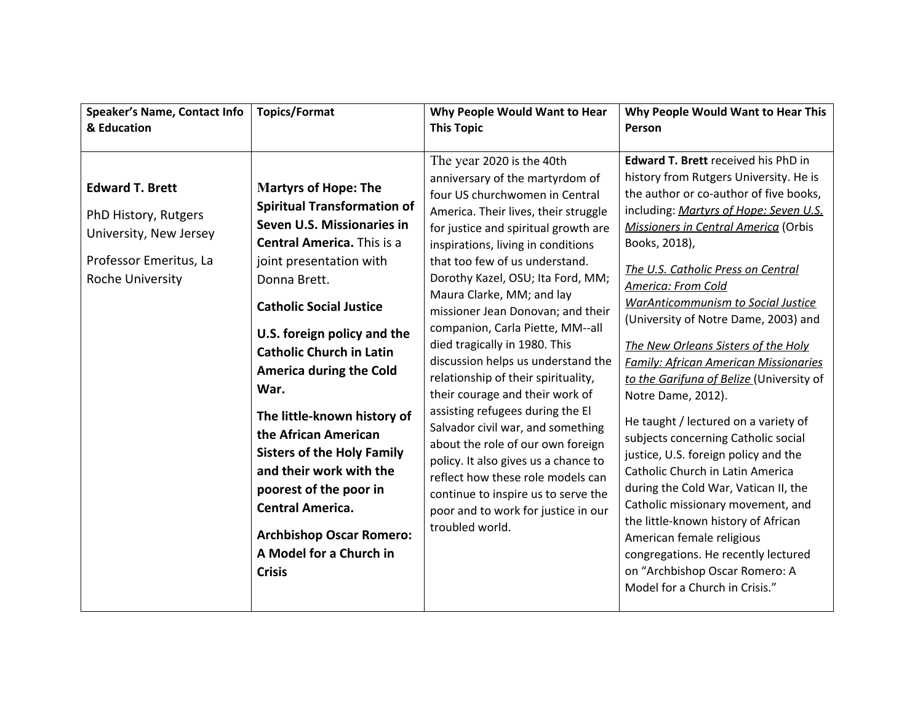| Speaker's Name, Contact Info                                                                                                  | <b>Topics/Format</b>                                                                                                                                                                                                                                                                                                                                                                                                                                                                                                                                                                     | Why People Would Want to Hear                                                                                                                                                                                                                                                                                                                                                                                                                                                                                                                                                                                                                                                                                                                                                                                                                  | Why People Would Want to Hear This                                                                                                                                                                                                                                                                                                                                                                                                                                                                                                                                                                                                                                                                                                                                                                                                                                                                                                                                 |
|-------------------------------------------------------------------------------------------------------------------------------|------------------------------------------------------------------------------------------------------------------------------------------------------------------------------------------------------------------------------------------------------------------------------------------------------------------------------------------------------------------------------------------------------------------------------------------------------------------------------------------------------------------------------------------------------------------------------------------|------------------------------------------------------------------------------------------------------------------------------------------------------------------------------------------------------------------------------------------------------------------------------------------------------------------------------------------------------------------------------------------------------------------------------------------------------------------------------------------------------------------------------------------------------------------------------------------------------------------------------------------------------------------------------------------------------------------------------------------------------------------------------------------------------------------------------------------------|--------------------------------------------------------------------------------------------------------------------------------------------------------------------------------------------------------------------------------------------------------------------------------------------------------------------------------------------------------------------------------------------------------------------------------------------------------------------------------------------------------------------------------------------------------------------------------------------------------------------------------------------------------------------------------------------------------------------------------------------------------------------------------------------------------------------------------------------------------------------------------------------------------------------------------------------------------------------|
| & Education                                                                                                                   |                                                                                                                                                                                                                                                                                                                                                                                                                                                                                                                                                                                          | <b>This Topic</b>                                                                                                                                                                                                                                                                                                                                                                                                                                                                                                                                                                                                                                                                                                                                                                                                                              | Person                                                                                                                                                                                                                                                                                                                                                                                                                                                                                                                                                                                                                                                                                                                                                                                                                                                                                                                                                             |
| <b>Edward T. Brett</b><br>PhD History, Rutgers<br>University, New Jersey<br>Professor Emeritus, La<br><b>Roche University</b> | <b>Martyrs of Hope: The</b><br><b>Spiritual Transformation of</b><br>Seven U.S. Missionaries in<br><b>Central America.</b> This is a<br>joint presentation with<br>Donna Brett.<br><b>Catholic Social Justice</b><br>U.S. foreign policy and the<br><b>Catholic Church in Latin</b><br><b>America during the Cold</b><br>War.<br>The little-known history of<br>the African American<br><b>Sisters of the Holy Family</b><br>and their work with the<br>poorest of the poor in<br><b>Central America.</b><br><b>Archbishop Oscar Romero:</b><br>A Model for a Church in<br><b>Crisis</b> | The year 2020 is the 40th<br>anniversary of the martyrdom of<br>four US churchwomen in Central<br>America. Their lives, their struggle<br>for justice and spiritual growth are<br>inspirations, living in conditions<br>that too few of us understand.<br>Dorothy Kazel, OSU; Ita Ford, MM;<br>Maura Clarke, MM; and lay<br>missioner Jean Donovan; and their<br>companion, Carla Piette, MM--all<br>died tragically in 1980. This<br>discussion helps us understand the<br>relationship of their spirituality,<br>their courage and their work of<br>assisting refugees during the El<br>Salvador civil war, and something<br>about the role of our own foreign<br>policy. It also gives us a chance to<br>reflect how these role models can<br>continue to inspire us to serve the<br>poor and to work for justice in our<br>troubled world. | <b>Edward T. Brett received his PhD in</b><br>history from Rutgers University. He is<br>the author or co-author of five books,<br>including: Martyrs of Hope: Seven U.S.<br>Missioners in Central America (Orbis<br>Books, 2018),<br>The U.S. Catholic Press on Central<br>America: From Cold<br><b>WarAnticommunism to Social Justice</b><br>(University of Notre Dame, 2003) and<br>The New Orleans Sisters of the Holy<br><b>Family: African American Missionaries</b><br>to the Garifuna of Belize (University of<br>Notre Dame, 2012).<br>He taught / lectured on a variety of<br>subjects concerning Catholic social<br>justice, U.S. foreign policy and the<br>Catholic Church in Latin America<br>during the Cold War, Vatican II, the<br>Catholic missionary movement, and<br>the little-known history of African<br>American female religious<br>congregations. He recently lectured<br>on "Archbishop Oscar Romero: A<br>Model for a Church in Crisis." |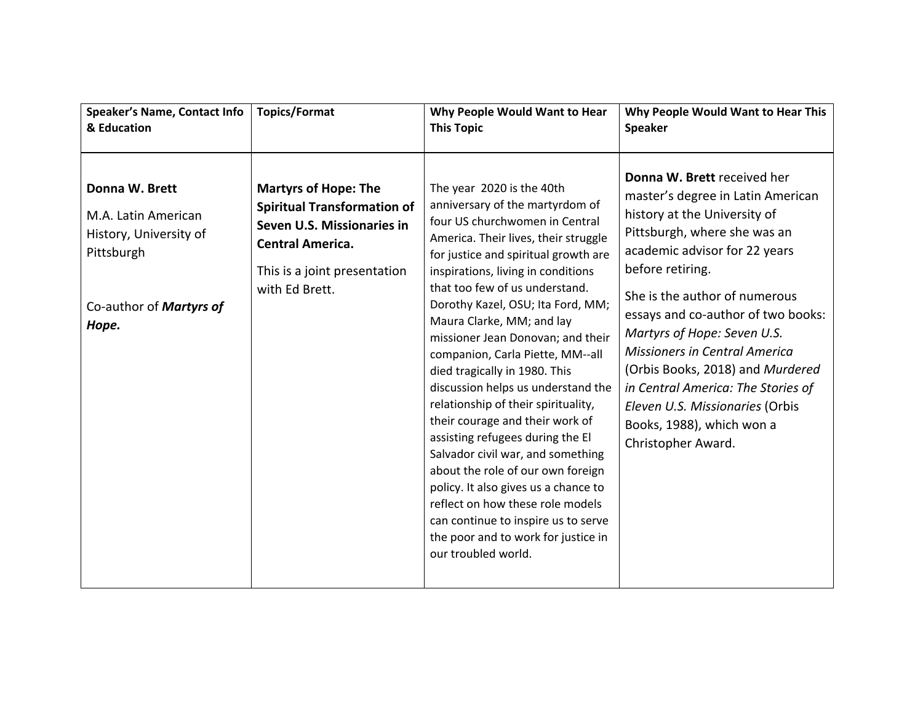| <b>Speaker's Name, Contact Info</b>                                                                               | <b>Topics/Format</b>                                                                                                                                                         | Why People Would Want to Hear                                                                                                                                                                                                                                                                                                                                                                                                                                                                                                                                                                                                                                                                                                                                                                                                                     | Why People Would Want to Hear This                                                                                                                                                                                                                                                                                                                                                                                                                                                                  |
|-------------------------------------------------------------------------------------------------------------------|------------------------------------------------------------------------------------------------------------------------------------------------------------------------------|---------------------------------------------------------------------------------------------------------------------------------------------------------------------------------------------------------------------------------------------------------------------------------------------------------------------------------------------------------------------------------------------------------------------------------------------------------------------------------------------------------------------------------------------------------------------------------------------------------------------------------------------------------------------------------------------------------------------------------------------------------------------------------------------------------------------------------------------------|-----------------------------------------------------------------------------------------------------------------------------------------------------------------------------------------------------------------------------------------------------------------------------------------------------------------------------------------------------------------------------------------------------------------------------------------------------------------------------------------------------|
| & Education                                                                                                       |                                                                                                                                                                              | <b>This Topic</b>                                                                                                                                                                                                                                                                                                                                                                                                                                                                                                                                                                                                                                                                                                                                                                                                                                 | <b>Speaker</b>                                                                                                                                                                                                                                                                                                                                                                                                                                                                                      |
| Donna W. Brett<br>M.A. Latin American<br>History, University of<br>Pittsburgh<br>Co-author of Martyrs of<br>Hope. | <b>Martyrs of Hope: The</b><br><b>Spiritual Transformation of</b><br>Seven U.S. Missionaries in<br><b>Central America.</b><br>This is a joint presentation<br>with Ed Brett. | The year 2020 is the 40th<br>anniversary of the martyrdom of<br>four US churchwomen in Central<br>America. Their lives, their struggle<br>for justice and spiritual growth are<br>inspirations, living in conditions<br>that too few of us understand.<br>Dorothy Kazel, OSU; Ita Ford, MM;<br>Maura Clarke, MM; and lay<br>missioner Jean Donovan; and their<br>companion, Carla Piette, MM--all<br>died tragically in 1980. This<br>discussion helps us understand the<br>relationship of their spirituality,<br>their courage and their work of<br>assisting refugees during the El<br>Salvador civil war, and something<br>about the role of our own foreign<br>policy. It also gives us a chance to<br>reflect on how these role models<br>can continue to inspire us to serve<br>the poor and to work for justice in<br>our troubled world. | Donna W. Brett received her<br>master's degree in Latin American<br>history at the University of<br>Pittsburgh, where she was an<br>academic advisor for 22 years<br>before retiring.<br>She is the author of numerous<br>essays and co-author of two books:<br>Martyrs of Hope: Seven U.S.<br><b>Missioners in Central America</b><br>(Orbis Books, 2018) and Murdered<br>in Central America: The Stories of<br>Eleven U.S. Missionaries (Orbis<br>Books, 1988), which won a<br>Christopher Award. |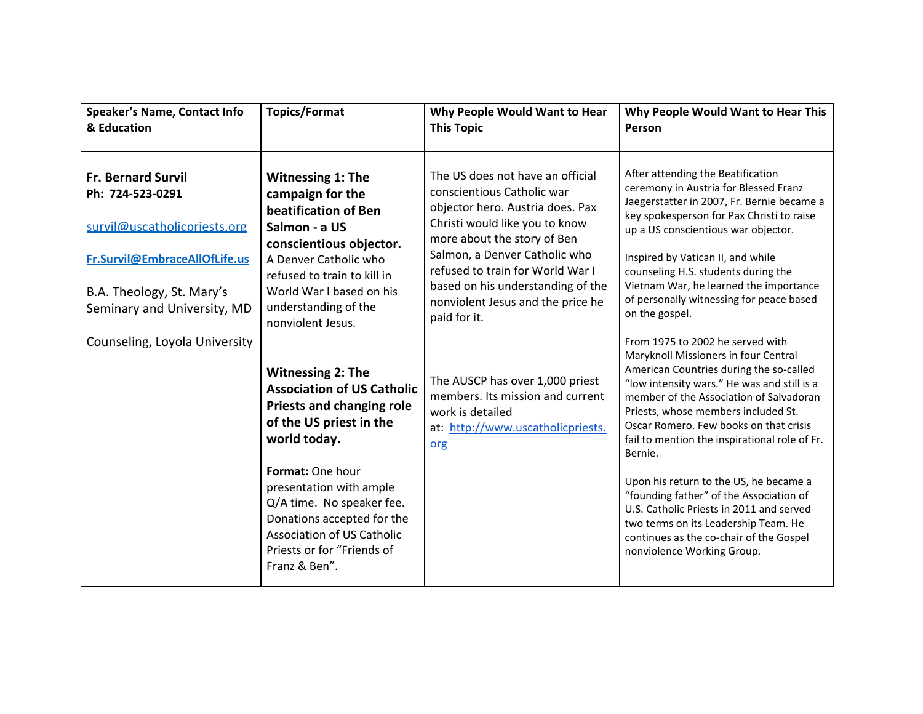| <b>Speaker's Name, Contact Info</b><br>& Education                                                                                                                         | <b>Topics/Format</b>                                                                                                                                                                                                         | Why People Would Want to Hear<br><b>This Topic</b>                                                                                                                                                                                                                                                                                 | Why People Would Want to Hear This<br>Person                                                                                                                                                                                                                                                                                                                                                     |
|----------------------------------------------------------------------------------------------------------------------------------------------------------------------------|------------------------------------------------------------------------------------------------------------------------------------------------------------------------------------------------------------------------------|------------------------------------------------------------------------------------------------------------------------------------------------------------------------------------------------------------------------------------------------------------------------------------------------------------------------------------|--------------------------------------------------------------------------------------------------------------------------------------------------------------------------------------------------------------------------------------------------------------------------------------------------------------------------------------------------------------------------------------------------|
| <b>Fr. Bernard Survil</b><br>Ph: 724-523-0291<br>survil@uscatholicpriests.org<br>Fr.Survil@EmbraceAllOfLife.us<br>B.A. Theology, St. Mary's<br>Seminary and University, MD | <b>Witnessing 1: The</b><br>campaign for the<br>beatification of Ben<br>Salmon - a US<br>conscientious objector.<br>A Denver Catholic who<br>refused to train to kill in<br>World War I based on his<br>understanding of the | The US does not have an official<br>conscientious Catholic war<br>objector hero. Austria does. Pax<br>Christi would like you to know<br>more about the story of Ben<br>Salmon, a Denver Catholic who<br>refused to train for World War I<br>based on his understanding of the<br>nonviolent Jesus and the price he<br>paid for it. | After attending the Beatification<br>ceremony in Austria for Blessed Franz<br>Jaegerstatter in 2007, Fr. Bernie became a<br>key spokesperson for Pax Christi to raise<br>up a US conscientious war objector.<br>Inspired by Vatican II, and while<br>counseling H.S. students during the<br>Vietnam War, he learned the importance<br>of personally witnessing for peace based<br>on the gospel. |
| Counseling, Loyola University                                                                                                                                              | nonviolent Jesus.<br><b>Witnessing 2: The</b><br><b>Association of US Catholic</b><br><b>Priests and changing role</b><br>of the US priest in the<br>world today.                                                            | The AUSCP has over 1,000 priest<br>members. Its mission and current<br>work is detailed<br>at: http://www.uscatholicpriests.<br>org                                                                                                                                                                                                | From 1975 to 2002 he served with<br>Maryknoll Missioners in four Central<br>American Countries during the so-called<br>"low intensity wars." He was and still is a<br>member of the Association of Salvadoran<br>Priests, whose members included St.<br>Oscar Romero. Few books on that crisis<br>fail to mention the inspirational role of Fr.<br>Bernie.                                       |
|                                                                                                                                                                            | Format: One hour<br>presentation with ample<br>Q/A time. No speaker fee.<br>Donations accepted for the<br><b>Association of US Catholic</b><br>Priests or for "Friends of<br>Franz & Ben".                                   |                                                                                                                                                                                                                                                                                                                                    | Upon his return to the US, he became a<br>"founding father" of the Association of<br>U.S. Catholic Priests in 2011 and served<br>two terms on its Leadership Team. He<br>continues as the co-chair of the Gospel<br>nonviolence Working Group.                                                                                                                                                   |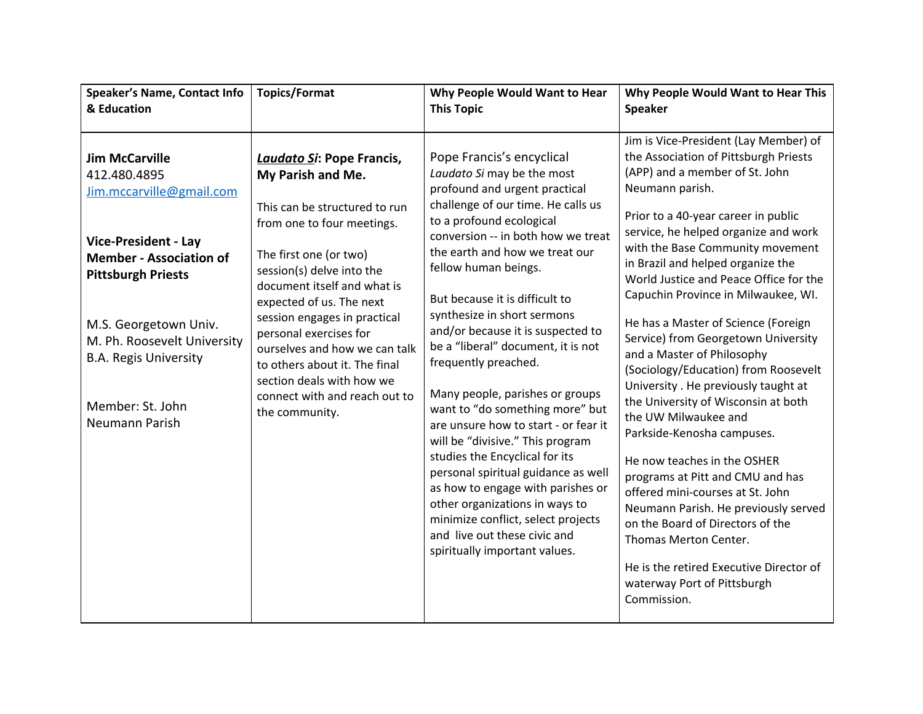| <b>Speaker's Name, Contact Info</b>                                                                                                                                                                                                                                                           | <b>Topics/Format</b>                                                                                                                                                                                                                                                                                                                                                                                                                               | Why People Would Want to Hear                                                                                                                                                                                                                                                                                                                                                                                                                                                                                                                                                                                                                                                                                                                                                                                                           | Why People Would Want to Hear This                                                                                                                                                                                                                                                                                                                                                                                                                                                                                                                                                                                                                                                                                                                                                                                                                                                                                                                                         |
|-----------------------------------------------------------------------------------------------------------------------------------------------------------------------------------------------------------------------------------------------------------------------------------------------|----------------------------------------------------------------------------------------------------------------------------------------------------------------------------------------------------------------------------------------------------------------------------------------------------------------------------------------------------------------------------------------------------------------------------------------------------|-----------------------------------------------------------------------------------------------------------------------------------------------------------------------------------------------------------------------------------------------------------------------------------------------------------------------------------------------------------------------------------------------------------------------------------------------------------------------------------------------------------------------------------------------------------------------------------------------------------------------------------------------------------------------------------------------------------------------------------------------------------------------------------------------------------------------------------------|----------------------------------------------------------------------------------------------------------------------------------------------------------------------------------------------------------------------------------------------------------------------------------------------------------------------------------------------------------------------------------------------------------------------------------------------------------------------------------------------------------------------------------------------------------------------------------------------------------------------------------------------------------------------------------------------------------------------------------------------------------------------------------------------------------------------------------------------------------------------------------------------------------------------------------------------------------------------------|
| & Education                                                                                                                                                                                                                                                                                   |                                                                                                                                                                                                                                                                                                                                                                                                                                                    | <b>This Topic</b>                                                                                                                                                                                                                                                                                                                                                                                                                                                                                                                                                                                                                                                                                                                                                                                                                       | <b>Speaker</b>                                                                                                                                                                                                                                                                                                                                                                                                                                                                                                                                                                                                                                                                                                                                                                                                                                                                                                                                                             |
| <b>Jim McCarville</b><br>412.480.4895<br>Jim.mccarville@gmail.com<br><b>Vice-President - Lay</b><br><b>Member - Association of</b><br><b>Pittsburgh Priests</b><br>M.S. Georgetown Univ.<br>M. Ph. Roosevelt University<br><b>B.A. Regis University</b><br>Member: St. John<br>Neumann Parish | <b>Laudato Si: Pope Francis,</b><br>My Parish and Me.<br>This can be structured to run<br>from one to four meetings.<br>The first one (or two)<br>session(s) delve into the<br>document itself and what is<br>expected of us. The next<br>session engages in practical<br>personal exercises for<br>ourselves and how we can talk<br>to others about it. The final<br>section deals with how we<br>connect with and reach out to<br>the community. | Pope Francis's encyclical<br>Laudato Si may be the most<br>profound and urgent practical<br>challenge of our time. He calls us<br>to a profound ecological<br>conversion -- in both how we treat<br>the earth and how we treat our<br>fellow human beings.<br>But because it is difficult to<br>synthesize in short sermons<br>and/or because it is suspected to<br>be a "liberal" document, it is not<br>frequently preached.<br>Many people, parishes or groups<br>want to "do something more" but<br>are unsure how to start - or fear it<br>will be "divisive." This program<br>studies the Encyclical for its<br>personal spiritual guidance as well<br>as how to engage with parishes or<br>other organizations in ways to<br>minimize conflict, select projects<br>and live out these civic and<br>spiritually important values. | Jim is Vice-President (Lay Member) of<br>the Association of Pittsburgh Priests<br>(APP) and a member of St. John<br>Neumann parish.<br>Prior to a 40-year career in public<br>service, he helped organize and work<br>with the Base Community movement<br>in Brazil and helped organize the<br>World Justice and Peace Office for the<br>Capuchin Province in Milwaukee, WI.<br>He has a Master of Science (Foreign<br>Service) from Georgetown University<br>and a Master of Philosophy<br>(Sociology/Education) from Roosevelt<br>University . He previously taught at<br>the University of Wisconsin at both<br>the UW Milwaukee and<br>Parkside-Kenosha campuses.<br>He now teaches in the OSHER<br>programs at Pitt and CMU and has<br>offered mini-courses at St. John<br>Neumann Parish. He previously served<br>on the Board of Directors of the<br>Thomas Merton Center.<br>He is the retired Executive Director of<br>waterway Port of Pittsburgh<br>Commission. |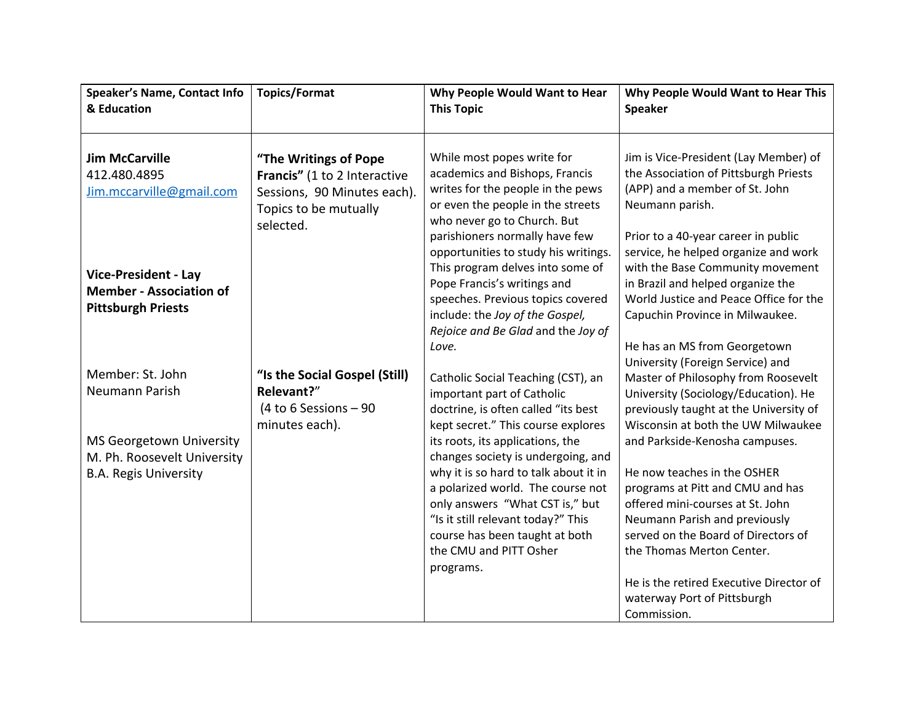| Speaker's Name, Contact Info<br>& Education                                                | <b>Topics/Format</b>                                                                                                       | Why People Would Want to Hear<br><b>This Topic</b>                                                                                                                                                                                                                                                     | Why People Would Want to Hear This<br><b>Speaker</b>                                                                                                                                                                                                                                                                                |
|--------------------------------------------------------------------------------------------|----------------------------------------------------------------------------------------------------------------------------|--------------------------------------------------------------------------------------------------------------------------------------------------------------------------------------------------------------------------------------------------------------------------------------------------------|-------------------------------------------------------------------------------------------------------------------------------------------------------------------------------------------------------------------------------------------------------------------------------------------------------------------------------------|
| <b>Jim McCarville</b><br>412.480.4895<br>Jim.mccarville@gmail.com                          | "The Writings of Pope<br>Francis" (1 to 2 Interactive<br>Sessions, 90 Minutes each).<br>Topics to be mutually<br>selected. | While most popes write for<br>academics and Bishops, Francis<br>writes for the people in the pews<br>or even the people in the streets<br>who never go to Church. But                                                                                                                                  | Jim is Vice-President (Lay Member) of<br>the Association of Pittsburgh Priests<br>(APP) and a member of St. John<br>Neumann parish.                                                                                                                                                                                                 |
| <b>Vice-President - Lay</b><br><b>Member - Association of</b><br><b>Pittsburgh Priests</b> |                                                                                                                            | parishioners normally have few<br>opportunities to study his writings.<br>This program delves into some of<br>Pope Francis's writings and<br>speeches. Previous topics covered<br>include: the Joy of the Gospel,<br>Rejoice and Be Glad and the Joy of<br>Love.                                       | Prior to a 40-year career in public<br>service, he helped organize and work<br>with the Base Community movement<br>in Brazil and helped organize the<br>World Justice and Peace Office for the<br>Capuchin Province in Milwaukee.<br>He has an MS from Georgetown                                                                   |
| Member: St. John<br>Neumann Parish                                                         | "Is the Social Gospel (Still)<br>Relevant?"<br>(4 to 6 Sessions $-90$<br>minutes each).                                    | Catholic Social Teaching (CST), an<br>important part of Catholic<br>doctrine, is often called "its best<br>kept secret." This course explores                                                                                                                                                          | University (Foreign Service) and<br>Master of Philosophy from Roosevelt<br>University (Sociology/Education). He<br>previously taught at the University of<br>Wisconsin at both the UW Milwaukee                                                                                                                                     |
| MS Georgetown University<br>M. Ph. Roosevelt University<br><b>B.A. Regis University</b>    |                                                                                                                            | its roots, its applications, the<br>changes society is undergoing, and<br>why it is so hard to talk about it in<br>a polarized world. The course not<br>only answers "What CST is," but<br>"Is it still relevant today?" This<br>course has been taught at both<br>the CMU and PITT Osher<br>programs. | and Parkside-Kenosha campuses.<br>He now teaches in the OSHER<br>programs at Pitt and CMU and has<br>offered mini-courses at St. John<br>Neumann Parish and previously<br>served on the Board of Directors of<br>the Thomas Merton Center.<br>He is the retired Executive Director of<br>waterway Port of Pittsburgh<br>Commission. |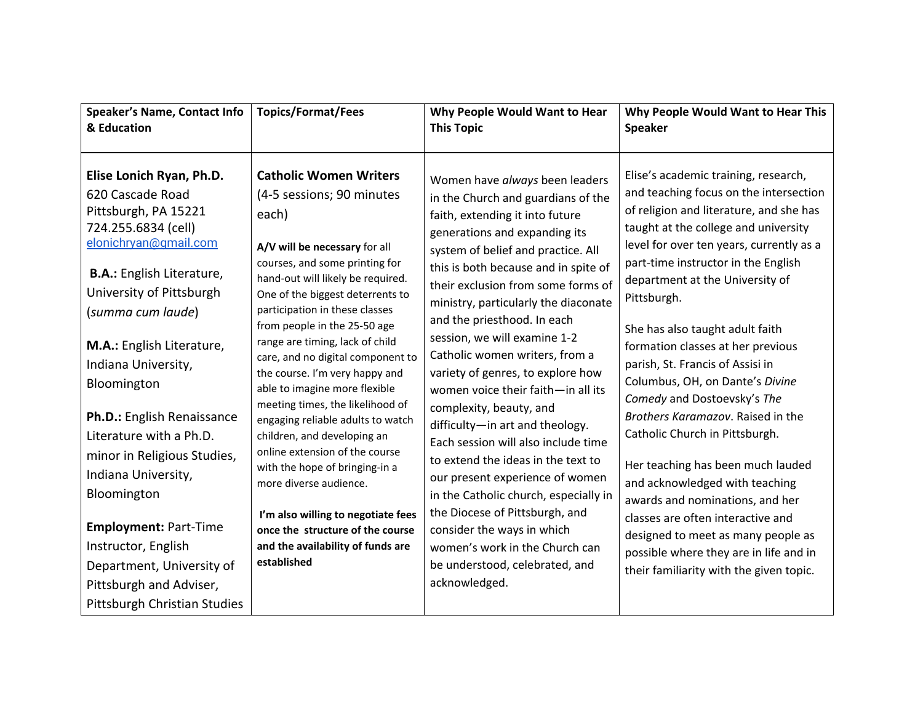| Speaker's Name, Contact Info<br>& Education                                                                                                                                                                                                                                                                                                                                                                                                                                                                               | <b>Topics/Format/Fees</b>                                                                                                                                                                                                                                                                                                                                                                                                                                                                                                                                                                                                                                                                                                                                        | Why People Would Want to Hear<br><b>This Topic</b>                                                                                                                                                                                                                                                                                                                                                                                                                                                                                                                                                                                                                                                                                                                                                                                                           | Why People Would Want to Hear This<br><b>Speaker</b>                                                                                                                                                                                                                                                                                                                                                                                                                                                                                                                                                                                                                                                                                                                                                                                  |
|---------------------------------------------------------------------------------------------------------------------------------------------------------------------------------------------------------------------------------------------------------------------------------------------------------------------------------------------------------------------------------------------------------------------------------------------------------------------------------------------------------------------------|------------------------------------------------------------------------------------------------------------------------------------------------------------------------------------------------------------------------------------------------------------------------------------------------------------------------------------------------------------------------------------------------------------------------------------------------------------------------------------------------------------------------------------------------------------------------------------------------------------------------------------------------------------------------------------------------------------------------------------------------------------------|--------------------------------------------------------------------------------------------------------------------------------------------------------------------------------------------------------------------------------------------------------------------------------------------------------------------------------------------------------------------------------------------------------------------------------------------------------------------------------------------------------------------------------------------------------------------------------------------------------------------------------------------------------------------------------------------------------------------------------------------------------------------------------------------------------------------------------------------------------------|---------------------------------------------------------------------------------------------------------------------------------------------------------------------------------------------------------------------------------------------------------------------------------------------------------------------------------------------------------------------------------------------------------------------------------------------------------------------------------------------------------------------------------------------------------------------------------------------------------------------------------------------------------------------------------------------------------------------------------------------------------------------------------------------------------------------------------------|
| Elise Lonich Ryan, Ph.D.<br>620 Cascade Road<br>Pittsburgh, PA 15221<br>724.255.6834 (cell)<br>elonichryan@qmail.com<br><b>B.A.:</b> English Literature,<br>University of Pittsburgh<br>(summa cum laude)<br>M.A.: English Literature,<br>Indiana University,<br>Bloomington<br>Ph.D.: English Renaissance<br>Literature with a Ph.D.<br>minor in Religious Studies,<br>Indiana University,<br>Bloomington<br><b>Employment: Part-Time</b><br>Instructor, English<br>Department, University of<br>Pittsburgh and Adviser, | <b>Catholic Women Writers</b><br>(4-5 sessions; 90 minutes<br>each)<br>A/V will be necessary for all<br>courses, and some printing for<br>hand-out will likely be required.<br>One of the biggest deterrents to<br>participation in these classes<br>from people in the 25-50 age<br>range are timing, lack of child<br>care, and no digital component to<br>the course. I'm very happy and<br>able to imagine more flexible<br>meeting times, the likelihood of<br>engaging reliable adults to watch<br>children, and developing an<br>online extension of the course<br>with the hope of bringing-in a<br>more diverse audience.<br>I'm also willing to negotiate fees<br>once the structure of the course<br>and the availability of funds are<br>established | Women have always been leaders<br>in the Church and guardians of the<br>faith, extending it into future<br>generations and expanding its<br>system of belief and practice. All<br>this is both because and in spite of<br>their exclusion from some forms of<br>ministry, particularly the diaconate<br>and the priesthood. In each<br>session, we will examine 1-2<br>Catholic women writers, from a<br>variety of genres, to explore how<br>women voice their faith-in all its<br>complexity, beauty, and<br>difficulty-in art and theology.<br>Each session will also include time<br>to extend the ideas in the text to<br>our present experience of women<br>in the Catholic church, especially in<br>the Diocese of Pittsburgh, and<br>consider the ways in which<br>women's work in the Church can<br>be understood, celebrated, and<br>acknowledged. | Elise's academic training, research,<br>and teaching focus on the intersection<br>of religion and literature, and she has<br>taught at the college and university<br>level for over ten years, currently as a<br>part-time instructor in the English<br>department at the University of<br>Pittsburgh.<br>She has also taught adult faith<br>formation classes at her previous<br>parish, St. Francis of Assisi in<br>Columbus, OH, on Dante's Divine<br>Comedy and Dostoevsky's The<br>Brothers Karamazov. Raised in the<br>Catholic Church in Pittsburgh.<br>Her teaching has been much lauded<br>and acknowledged with teaching<br>awards and nominations, and her<br>classes are often interactive and<br>designed to meet as many people as<br>possible where they are in life and in<br>their familiarity with the given topic. |
| Pittsburgh Christian Studies                                                                                                                                                                                                                                                                                                                                                                                                                                                                                              |                                                                                                                                                                                                                                                                                                                                                                                                                                                                                                                                                                                                                                                                                                                                                                  |                                                                                                                                                                                                                                                                                                                                                                                                                                                                                                                                                                                                                                                                                                                                                                                                                                                              |                                                                                                                                                                                                                                                                                                                                                                                                                                                                                                                                                                                                                                                                                                                                                                                                                                       |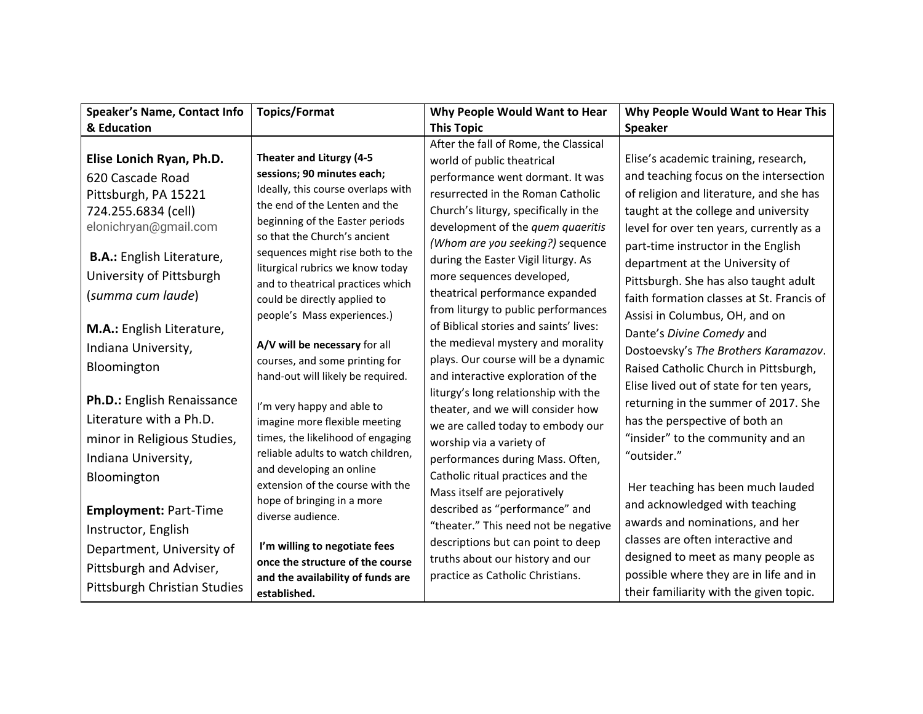| <b>Speaker's Name, Contact Info</b>                                                                         | <b>Topics/Format</b>                                                                                                                                                     | Why People Would Want to Hear                                                                                                                                                           | Why People Would Want to Hear This                                                                                                                                                             |
|-------------------------------------------------------------------------------------------------------------|--------------------------------------------------------------------------------------------------------------------------------------------------------------------------|-----------------------------------------------------------------------------------------------------------------------------------------------------------------------------------------|------------------------------------------------------------------------------------------------------------------------------------------------------------------------------------------------|
| & Education                                                                                                 |                                                                                                                                                                          | <b>This Topic</b>                                                                                                                                                                       | <b>Speaker</b>                                                                                                                                                                                 |
| Elise Lonich Ryan, Ph.D.                                                                                    | Theater and Liturgy (4-5                                                                                                                                                 | After the fall of Rome, the Classical<br>world of public theatrical                                                                                                                     | Elise's academic training, research,                                                                                                                                                           |
| 620 Cascade Road<br>Pittsburgh, PA 15221<br>724.255.6834 (cell)<br>elonichryan@gmail.com                    | sessions; 90 minutes each;<br>Ideally, this course overlaps with<br>the end of the Lenten and the<br>beginning of the Easter periods<br>so that the Church's ancient     | performance went dormant. It was<br>resurrected in the Roman Catholic<br>Church's liturgy, specifically in the<br>development of the quem quaeritis<br>(Whom are you seeking?) sequence | and teaching focus on the intersection<br>of religion and literature, and she has<br>taught at the college and university<br>level for over ten years, currently as a                          |
| <b>B.A.:</b> English Literature,<br>University of Pittsburgh<br>(summa cum laude)                           | sequences might rise both to the<br>liturgical rubrics we know today<br>and to theatrical practices which<br>could be directly applied to<br>people's Mass experiences.) | during the Easter Vigil liturgy. As<br>more sequences developed,<br>theatrical performance expanded<br>from liturgy to public performances                                              | part-time instructor in the English<br>department at the University of<br>Pittsburgh. She has also taught adult<br>faith formation classes at St. Francis of<br>Assisi in Columbus, OH, and on |
| M.A.: English Literature,<br>Indiana University,<br>Bloomington                                             | A/V will be necessary for all<br>courses, and some printing for<br>hand-out will likely be required.                                                                     | of Biblical stories and saints' lives:<br>the medieval mystery and morality<br>plays. Our course will be a dynamic<br>and interactive exploration of the                                | Dante's Divine Comedy and<br>Dostoevsky's The Brothers Karamazov.<br>Raised Catholic Church in Pittsburgh,<br>Elise lived out of state for ten years,                                          |
| Ph.D.: English Renaissance<br>Literature with a Ph.D.<br>minor in Religious Studies,<br>Indiana University, | I'm very happy and able to<br>imagine more flexible meeting<br>times, the likelihood of engaging<br>reliable adults to watch children,                                   | liturgy's long relationship with the<br>theater, and we will consider how<br>we are called today to embody our<br>worship via a variety of<br>performances during Mass. Often,          | returning in the summer of 2017. She<br>has the perspective of both an<br>"insider" to the community and an<br>"outsider."                                                                     |
| Bloomington<br><b>Employment: Part-Time</b><br>Instructor, English                                          | and developing an online<br>extension of the course with the<br>hope of bringing in a more<br>diverse audience.                                                          | Catholic ritual practices and the<br>Mass itself are pejoratively<br>described as "performance" and<br>"theater." This need not be negative                                             | Her teaching has been much lauded<br>and acknowledged with teaching<br>awards and nominations, and her                                                                                         |
| Department, University of<br>Pittsburgh and Adviser,<br>Pittsburgh Christian Studies                        | I'm willing to negotiate fees<br>once the structure of the course<br>and the availability of funds are<br>established.                                                   | descriptions but can point to deep<br>truths about our history and our<br>practice as Catholic Christians.                                                                              | classes are often interactive and<br>designed to meet as many people as<br>possible where they are in life and in<br>their familiarity with the given topic.                                   |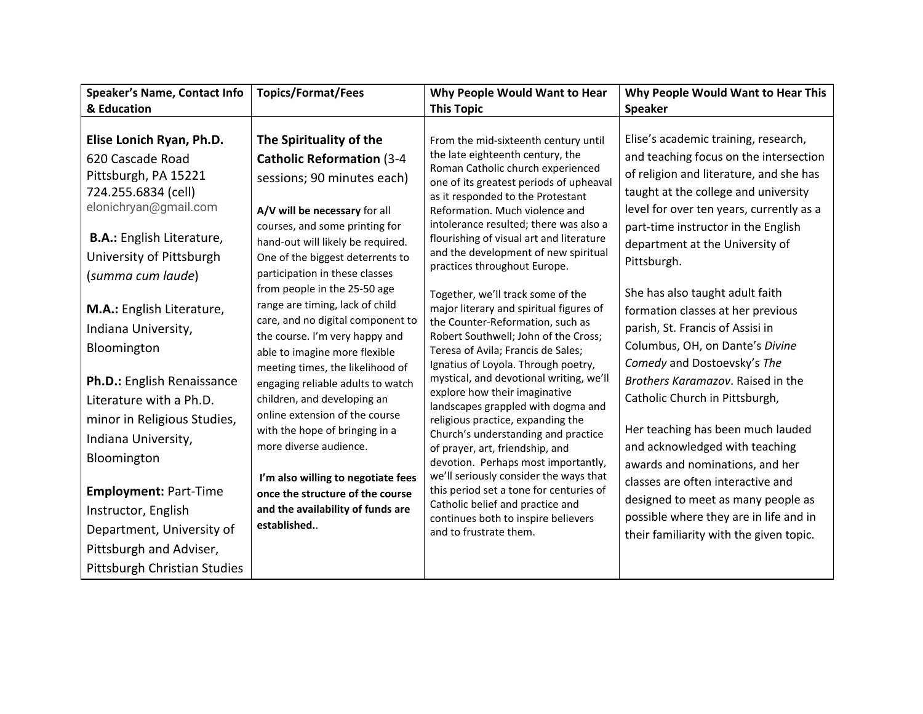| <b>Speaker's Name, Contact Info</b>                                                                                                         | <b>Topics/Format/Fees</b>                                                                                                                                                                                    | Why People Would Want to Hear                                                                                                                                                                                                              | Why People Would Want to Hear This                                                                                                                                                                            |
|---------------------------------------------------------------------------------------------------------------------------------------------|--------------------------------------------------------------------------------------------------------------------------------------------------------------------------------------------------------------|--------------------------------------------------------------------------------------------------------------------------------------------------------------------------------------------------------------------------------------------|---------------------------------------------------------------------------------------------------------------------------------------------------------------------------------------------------------------|
| & Education                                                                                                                                 |                                                                                                                                                                                                              | <b>This Topic</b>                                                                                                                                                                                                                          | <b>Speaker</b>                                                                                                                                                                                                |
| Elise Lonich Ryan, Ph.D.<br>620 Cascade Road<br>Pittsburgh, PA 15221<br>724.255.6834 (cell)<br>elonichryan@gmail.com                        | The Spirituality of the<br><b>Catholic Reformation (3-4)</b><br>sessions; 90 minutes each)<br>A/V will be necessary for all                                                                                  | From the mid-sixteenth century until<br>the late eighteenth century, the<br>Roman Catholic church experienced<br>one of its greatest periods of upheaval<br>as it responded to the Protestant<br>Reformation. Much violence and            | Elise's academic training, research,<br>and teaching focus on the intersection<br>of religion and literature, and she has<br>taught at the college and university<br>level for over ten years, currently as a |
| <b>B.A.:</b> English Literature,<br>University of Pittsburgh<br>(summa cum laude)<br>M.A.: English Literature,                              | courses, and some printing for<br>hand-out will likely be required.<br>One of the biggest deterrents to<br>participation in these classes<br>from people in the 25-50 age<br>range are timing, lack of child | intolerance resulted; there was also a<br>flourishing of visual art and literature<br>and the development of new spiritual<br>practices throughout Europe.<br>Together, we'll track some of the<br>major literary and spiritual figures of | part-time instructor in the English<br>department at the University of<br>Pittsburgh.<br>She has also taught adult faith<br>formation classes at her previous                                                 |
| Indiana University,<br>Bloomington                                                                                                          | care, and no digital component to<br>the course. I'm very happy and<br>able to imagine more flexible<br>meeting times, the likelihood of                                                                     | the Counter-Reformation, such as<br>Robert Southwell; John of the Cross;<br>Teresa of Avila; Francis de Sales;<br>Ignatius of Loyola. Through poetry,                                                                                      | parish, St. Francis of Assisi in<br>Columbus, OH, on Dante's Divine<br>Comedy and Dostoevsky's The                                                                                                            |
| Ph.D.: English Renaissance<br>Literature with a Ph.D.                                                                                       | engaging reliable adults to watch<br>children, and developing an<br>online extension of the course                                                                                                           | mystical, and devotional writing, we'll<br>explore how their imaginative<br>landscapes grappled with dogma and                                                                                                                             | Brothers Karamazov. Raised in the<br>Catholic Church in Pittsburgh,                                                                                                                                           |
| minor in Religious Studies,<br>Indiana University,<br>Bloomington                                                                           | with the hope of bringing in a<br>more diverse audience.                                                                                                                                                     | religious practice, expanding the<br>Church's understanding and practice<br>of prayer, art, friendship, and<br>devotion. Perhaps most importantly,                                                                                         | Her teaching has been much lauded<br>and acknowledged with teaching<br>awards and nominations, and her                                                                                                        |
| <b>Employment: Part-Time</b><br>Instructor, English<br>Department, University of<br>Pittsburgh and Adviser,<br>Pittsburgh Christian Studies | I'm also willing to negotiate fees<br>once the structure of the course<br>and the availability of funds are<br>established                                                                                   | we'll seriously consider the ways that<br>this period set a tone for centuries of<br>Catholic belief and practice and<br>continues both to inspire believers<br>and to frustrate them.                                                     | classes are often interactive and<br>designed to meet as many people as<br>possible where they are in life and in<br>their familiarity with the given topic.                                                  |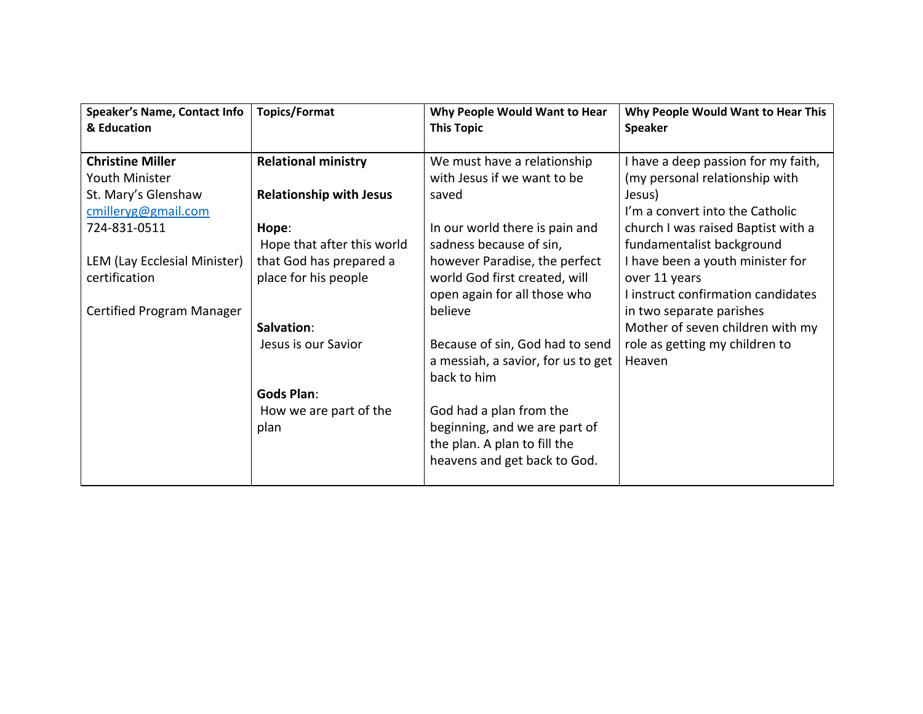| <b>Speaker's Name, Contact Info</b> | <b>Topics/Format</b>           | Why People Would Want to Hear      | Why People Would Want to Hear This  |
|-------------------------------------|--------------------------------|------------------------------------|-------------------------------------|
| & Education                         |                                | <b>This Topic</b>                  | <b>Speaker</b>                      |
|                                     |                                |                                    |                                     |
| <b>Christine Miller</b>             | <b>Relational ministry</b>     | We must have a relationship        | I have a deep passion for my faith, |
| Youth Minister                      |                                | with Jesus if we want to be        | (my personal relationship with      |
| St. Mary's Glenshaw                 | <b>Relationship with Jesus</b> | saved                              | Jesus)                              |
| cmilleryg@gmail.com                 |                                |                                    | I'm a convert into the Catholic     |
| 724-831-0511                        | Hope:                          | In our world there is pain and     | church I was raised Baptist with a  |
|                                     | Hope that after this world     | sadness because of sin,            | fundamentalist background           |
| LEM (Lay Ecclesial Minister)        | that God has prepared a        | however Paradise, the perfect      | I have been a youth minister for    |
| certification                       | place for his people           | world God first created, will      | over 11 years                       |
|                                     |                                | open again for all those who       | I instruct confirmation candidates  |
| Certified Program Manager           |                                | believe                            | in two separate parishes            |
|                                     | Salvation:                     |                                    | Mother of seven children with my    |
|                                     | Jesus is our Savior            | Because of sin, God had to send    | role as getting my children to      |
|                                     |                                | a messiah, a savior, for us to get | Heaven                              |
|                                     |                                | back to him                        |                                     |
|                                     | <b>Gods Plan:</b>              |                                    |                                     |
|                                     | How we are part of the         | God had a plan from the            |                                     |
|                                     | plan                           | beginning, and we are part of      |                                     |
|                                     |                                | the plan. A plan to fill the       |                                     |
|                                     |                                | heavens and get back to God.       |                                     |
|                                     |                                |                                    |                                     |